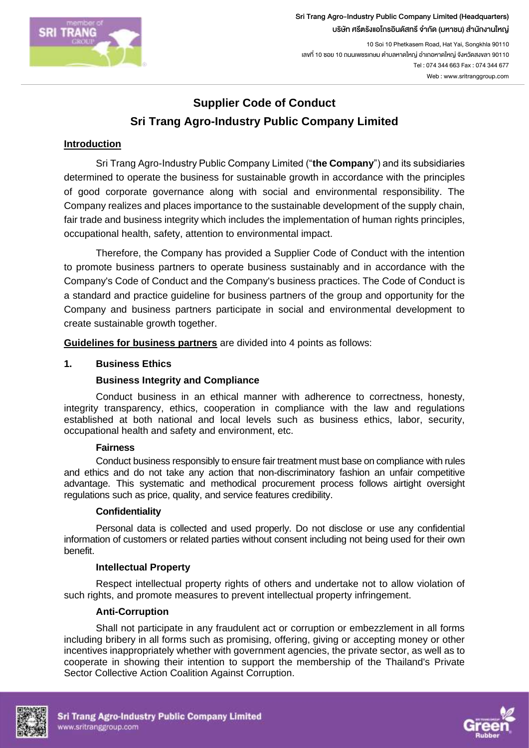

10 Soi 10 Phetkasem Road, Hat Yai, Songkhla 90110 เลขที่ 10 ซอย 10 ถนนเพชรเกษม ตำบลหาดใหญ่ อำเภอหาดใหญ่ จังหวัดสงขลา 90110 Tel : 074 344 663 Fax : 074 344 677 Web : www.sritranggroup.com

# **Supplier Code of Conduct Sri Trang Agro-Industry Public Company Limited**

# **Introduction**

Sri Trang Agro-Industry Public Company Limited ("**the Company**") and its subsidiaries determined to operate the business for sustainable growth in accordance with the principles of good corporate governance along with social and environmental responsibility. The Company realizes and places importance to the sustainable development of the supply chain, fair trade and business integrity which includes the implementation of human rights principles, occupational health, safety, attention to environmental impact.

Therefore, the Company has provided a Supplier Code of Conduct with the intention to promote business partners to operate business sustainably and in accordance with the Company's Code of Conduct and the Company's business practices. The Code of Conduct is a standard and practice guideline for business partners of the group and opportunity for the Company and business partners participate in social and environmental development to create sustainable growth together.

**Guidelines for business partners** are divided into 4 points as follows:

## **1. Business Ethics**

# **Business Integrity and Compliance**

Conduct business in an ethical manner with adherence to correctness, honesty, integrity transparency, ethics, cooperation in compliance with the law and regulations established at both national and local levels such as business ethics, labor, security, occupational health and safety and environment, etc.

## **Fairness**

Conduct business responsibly to ensure fair treatment must base on compliance with rules and ethics and do not take any action that non-discriminatory fashion an unfair competitive advantage. This systematic and methodical procurement process follows airtight oversight regulations such as price, quality, and service features credibility.

## **Confidentiality**

Personal data is collected and used properly. Do not disclose or use any confidential information of customers or related parties without consent including not being used for their own benefit.

## **Intellectual Property**

Respect intellectual property rights of others and undertake not to allow violation of such rights, and promote measures to prevent intellectual property infringement.

## **Anti-Corruption**

Shall not participate in any fraudulent act or corruption or embezzlement in all forms including bribery in all forms such as promising, offering, giving or accepting money or other incentives inappropriately whether with government agencies, the private sector, as well as to cooperate in showing their intention to support the membership of the Thailand's Private Sector Collective Action Coalition Against Corruption.



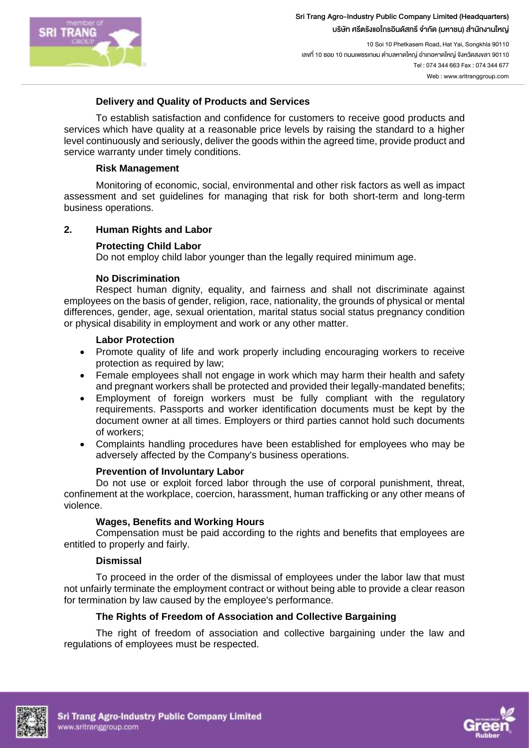

10 Soi 10 Phetkasem Road, Hat Yai, Songkhla 90110 เลขที่ 10 ซอย 10 ถนนเพชรเกษม ตำบลหาดใหญ่ อำเภอหาดใหญ่ จังหวัดสงขลา 90110 Tel : 074 344 663 Fax : 074 344 677 Web : www.sritranggroup.com

## **Delivery and Quality of Products and Services**

To establish satisfaction and confidence for customers to receive good products and services which have quality at a reasonable price levels by raising the standard to a higher level continuously and seriously, deliver the goods within the agreed time, provide product and service warranty under timely conditions.

#### **Risk Management**

Monitoring of economic, social, environmental and other risk factors as well as impact assessment and set guidelines for managing that risk for both short-term and long-term business operations.

## **2. Human Rights and Labor**

## **Protecting Child Labor**

Do not employ child labor younger than the legally required minimum age.

## **No Discrimination**

Respect human dignity, equality, and fairness and shall not discriminate against employees on the basis of gender, religion, race, nationality, the grounds of physical or mental differences, gender, age, sexual orientation, marital status social status pregnancy condition or physical disability in employment and work or any other matter.

#### **Labor Protection**

- Promote quality of life and work properly including encouraging workers to receive protection as required by law;
- Female employees shall not engage in work which may harm their health and safety and pregnant workers shall be protected and provided their legally-mandated benefits;
- Employment of foreign workers must be fully compliant with the regulatory requirements. Passports and worker identification documents must be kept by the document owner at all times. Employers or third parties cannot hold such documents of workers;
- Complaints handling procedures have been established for employees who may be adversely affected by the Company's business operations.

## **Prevention of Involuntary Labor**

Do not use or exploit forced labor through the use of corporal punishment, threat, confinement at the workplace, coercion, harassment, human trafficking or any other means of violence.

## **Wages, Benefits and Working Hours**

Compensation must be paid according to the rights and benefits that employees are entitled to properly and fairly.

## **Dismissal**

To proceed in the order of the dismissal of employees under the labor law that must not unfairly terminate the employment contract or without being able to provide a clear reason for termination by law caused by the employee's performance.

## **The Rights of Freedom of Association and Collective Bargaining**

The right of freedom of association and collective bargaining under the law and regulations of employees must be respected.